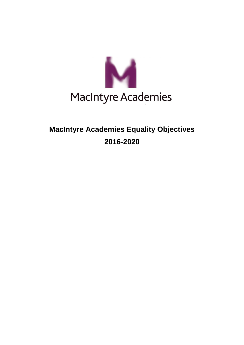

## **MacIntyre Academies Equality Objectives 2016-2020**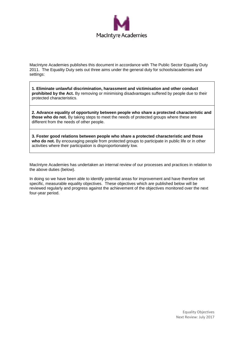

MacIntyre Academies publishes this document in accordance with The Public Sector Equality Duty 2011. The Equality Duty sets out three aims under the general duty for schools/academies and settings:

**1. Eliminate unlawful discrimination, harassment and victimisation and other conduct prohibited by the Act.** By removing or minimising disadvantages suffered by people due to their protected characteristics.

**2. Advance equality of opportunity between people who share a protected characteristic and those who do not.** By taking steps to meet the needs of protected groups where these are different from the needs of other people.

**3. Foster good relations between people who share a protected characteristic and those**  who do not. By encouraging people from protected groups to participate in public life or in other activities where their participation is disproportionately low.

MacIntyre Academies has undertaken an internal review of our processes and practices in relation to the above duties (below).

In doing so we have been able to identify potential areas for improvement and have therefore set specific, measurable equality objectives. These objectives which are published below will be reviewed regularly and progress against the achievement of the objectives monitored over the next four-year period.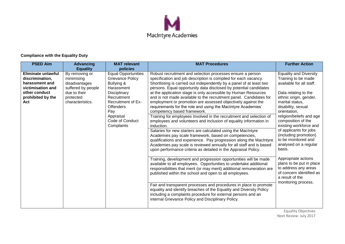

## **Compliance with the Equality Duty**

| <b>PSED Aim</b>                                                                                                                  | <b>Advancing</b>                                                                                                                        | <b>MAT</b> relevant<br>policies                                                                                                                                                                                        | <b>MAT Procedures</b>                                                                                                                                                                                                                                                                                                                                                                                                                                                                                                                                                                                                                                                                                                                                                                                                                                                                                                                                                                                                                                                                                                                                                                                                                                                                                                                                                                                                                                                                                                                                                                                                              | <b>Further Action</b>                                                                                                                                                                                                                                                                                                                                                                                                                                                                                                                 |
|----------------------------------------------------------------------------------------------------------------------------------|-----------------------------------------------------------------------------------------------------------------------------------------|------------------------------------------------------------------------------------------------------------------------------------------------------------------------------------------------------------------------|------------------------------------------------------------------------------------------------------------------------------------------------------------------------------------------------------------------------------------------------------------------------------------------------------------------------------------------------------------------------------------------------------------------------------------------------------------------------------------------------------------------------------------------------------------------------------------------------------------------------------------------------------------------------------------------------------------------------------------------------------------------------------------------------------------------------------------------------------------------------------------------------------------------------------------------------------------------------------------------------------------------------------------------------------------------------------------------------------------------------------------------------------------------------------------------------------------------------------------------------------------------------------------------------------------------------------------------------------------------------------------------------------------------------------------------------------------------------------------------------------------------------------------------------------------------------------------------------------------------------------------|---------------------------------------------------------------------------------------------------------------------------------------------------------------------------------------------------------------------------------------------------------------------------------------------------------------------------------------------------------------------------------------------------------------------------------------------------------------------------------------------------------------------------------------|
| <b>Eliminate unlawful</b><br>discrimination,<br>harassment and<br>victimisation and<br>other conduct<br>prohibited by the<br>Act | <b>Equality</b><br>By removing or<br>minimising<br>disadvantages<br>suffered by people<br>due to their<br>protected<br>characteristics. | <b>Equal Opportunities</b><br><b>Grievance Policy</b><br>Bullying &<br>Harassment<br>Disciplinary<br>Recruitment<br><b>Recruitment of Ex-</b><br><b>Offenders</b><br>Pay<br>Appraisal<br>Code of Conduct<br>Complaints | Robust recruitment and selection processes ensure a person<br>specification and job description is compiled for each vacancy.<br>Shortlisting is carried out independently by a panel of at least two<br>persons. Equal opportunity data disclosed by potential candidates<br>at the application stage is only accessible by Human Resources<br>and is not made available to the recruitment panel. Candidates for<br>employment or promotion are assessed objectively against the<br>requirements for the role and using the MacIntyre Academies'<br>competency based framework.<br>Training for employees involved in the recruitment and selection of<br>employees and volunteers and inclusion of equality information in<br>induction.<br>Salaries for new starters are calculated using the MacIntyre<br>Academies pay scale framework, based on competencies,<br>qualifications and experience. Pay progression along the MacIntyre<br>Academies pay scale is reviewed annually for all staff and is based<br>upon performance criteria as detailed in the Appraisal Policy.<br>Training, development and progression opportunities will be made<br>available to all employees. Opportunities to undertake additional<br>responsibilities that merit (or may merit) additional remuneration are<br>published within the school and open to all employees.<br>Fair and transparent processes and procedures in place to promote<br>equality and identify breaches of the Equality and Diversity Policy<br>including a complaints procedure for external persons and an<br>internal Grievance Policy and Disciplinary Policy. | <b>Equality and Diversity</b><br>Training to be made<br>available for all staff.<br>Data relating to the<br>ethnic origin, gender,<br>marital status,<br>disability, sexual<br>orientation,<br>religion/beliefs and age<br>composition of the<br>existing workforce and<br>of applicants for jobs<br>(including promotion)<br>to be monitored and<br>analysed on a regular<br>basis.<br>Appropriate actions<br>plans to be put in place<br>to address any areas<br>of concern identified as<br>a result of the<br>monitoring process. |

Equality Objectives Next Review: July 2017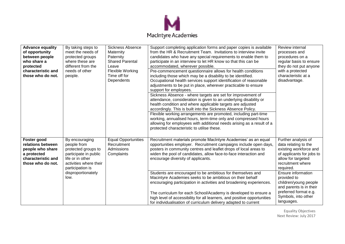

| <b>Advance equality</b><br>of opportunity<br>between people<br>who share a<br>protected<br>characteristic and<br>those who do not. | By taking steps to<br>meet the needs of<br>protected groups<br>where these are<br>different from the<br>needs of other<br>people.               | <b>Sickness Absence</b><br>Maternity<br>Paternity<br><b>Shared Parental</b><br>Leave<br><b>Flexible Working</b><br>Time off for<br>Dependents | Support completing application forms and paper copies is available<br>from the HR & Recruitment Team. Invitations to interview invite<br>candidates who have any special requirements to enable them to<br>participate in an interview to let HR know so that this can be<br>accommodated, wherever possible.<br>Pre-commencement questionnaire allows for health conditions<br>including those which may be a disability to be identified.<br>Occupational health services support identification of reasonable<br>adjustments to be put in place, wherever practicable to ensure<br>support for employees.<br>Sickness Absence - where targets are set for improvement of<br>attendance, consideration is given to an underlying disability or<br>health condition and where applicable targets are adjusted<br>accordingly. This is built into the Sickness Absence Policy.<br>Flexible working arrangements are promoted, including part-time<br>working, annualised hours, term-time only and compressed hours<br>allowing for employees with additional needs arising as a result of a<br>protected characteristic to utilise these. | Review internal<br>processes and<br>procedures on a<br>regular basis to ensure<br>they do not put anyone<br>with a protected<br>characteristic at a<br>disadvantage. |
|------------------------------------------------------------------------------------------------------------------------------------|-------------------------------------------------------------------------------------------------------------------------------------------------|-----------------------------------------------------------------------------------------------------------------------------------------------|--------------------------------------------------------------------------------------------------------------------------------------------------------------------------------------------------------------------------------------------------------------------------------------------------------------------------------------------------------------------------------------------------------------------------------------------------------------------------------------------------------------------------------------------------------------------------------------------------------------------------------------------------------------------------------------------------------------------------------------------------------------------------------------------------------------------------------------------------------------------------------------------------------------------------------------------------------------------------------------------------------------------------------------------------------------------------------------------------------------------------------------------|----------------------------------------------------------------------------------------------------------------------------------------------------------------------|
| Foster good<br>relations between<br>people who share<br>a protected<br>characteristic and<br>those who do not.                     | By encouraging<br>people from<br>protected groups to<br>participate in public<br>life or in other<br>activities where their<br>participation is | <b>Equal Opportunities</b><br>Recruitment<br>Admissions<br>Complaints                                                                         | Recruitment materials promote MacIntyre Academies' as an equal<br>opportunities employer. Recruitment campaigns include open days,<br>posters in community centres and leaflet drops of local areas to<br>widen the pool of candidates, allow face-to-face interaction and<br>encourage diversity of applicants.                                                                                                                                                                                                                                                                                                                                                                                                                                                                                                                                                                                                                                                                                                                                                                                                                           | Further analysis of<br>data relating to the<br>existing workforce and<br>of applicants for jobs to<br>allow for targeted<br>recruitment where<br>required.           |
|                                                                                                                                    | disproportionately<br>low.                                                                                                                      |                                                                                                                                               | Students are encouraged to be ambitious for themselves and<br>Macintyre Academies seeks to be ambitious on their behalf<br>encouraging participation in activities and broadening experiences.<br>The curriculum for each School/Academy is developed to ensure a<br>high level of accessibility for all learners, and positive opportunities<br>for individualisation of curriculum delivery adapted to current                                                                                                                                                                                                                                                                                                                                                                                                                                                                                                                                                                                                                                                                                                                           | Ensure information<br>provided to<br>children/young people<br>and parents is in their<br>preferred format e.g.<br>Symbols, into other<br>languages.                  |

Equality Objectives Next Review: July 2017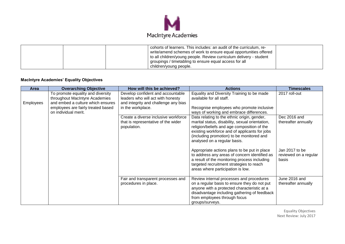

| cohorts of learners. This includes: an audit of the curriculum, re-<br>write/amend schemes of work to ensure equal opportunities offered<br>to all children/young people. Review curriculum delivery - student<br>groupings / timetabling to ensure equal access for all |  |
|--------------------------------------------------------------------------------------------------------------------------------------------------------------------------------------------------------------------------------------------------------------------------|--|
| children/young people.                                                                                                                                                                                                                                                   |  |

## **MacIntyre Academies' Equality Objectives**

| Area      | <b>Overarching Objective</b>                                                                                                                                           | How will this be achieved?                                                                                                          | <b>Actions</b>                                                                                                                                                                                                                                                              | <b>Timescales</b>                                |
|-----------|------------------------------------------------------------------------------------------------------------------------------------------------------------------------|-------------------------------------------------------------------------------------------------------------------------------------|-----------------------------------------------------------------------------------------------------------------------------------------------------------------------------------------------------------------------------------------------------------------------------|--------------------------------------------------|
| Employees | To promote equality and diversity<br>throughout MacIntyre Academies<br>and embed a culture which ensures<br>employees are fairly treated based<br>on individual merit. | Develop confident and accountable<br>leaders who will act with honesty<br>and integrity and challenge any bias<br>in the workplace. | Equality and Diversity Training to be made<br>available for all staff.<br>Recognise employees who promote inclusive<br>ways of working and embrace differences.                                                                                                             | 2017 roll-out                                    |
|           |                                                                                                                                                                        | Create a diverse inclusive workforce<br>that is representative of the wider<br>population.                                          | Data relating to the ethnic origin, gender,<br>marital status, disability, sexual orientation,<br>religion/beliefs and age composition of the<br>existing workforce and of applicants for jobs<br>(including promotion) to be monitored and<br>analysed on a regular basis. | Dec 2016 and<br>thereafter annually              |
|           |                                                                                                                                                                        |                                                                                                                                     | Appropriate actions plans to be put in place<br>to address any areas of concern identified as<br>a result of the monitoring process including<br>targeted recruitment strategies to reach<br>areas where participation is low.                                              | Jan 2017 to be<br>reviewed on a regular<br>basis |
|           |                                                                                                                                                                        | Fair and transparent processes and<br>procedures in place.                                                                          | Review internal processes and procedures<br>on a regular basis to ensure they do not put<br>anyone with a protected characteristic at a<br>disadvantage including gathering of feedback<br>from employees through focus<br>groups/surveys.                                  | June 2016 and<br>thereafter annually             |

Equality Objectives Next Review: July 2017